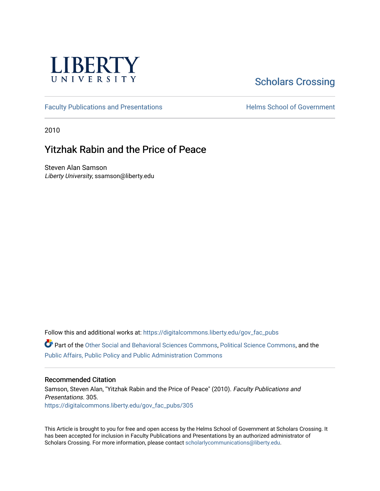

## [Scholars Crossing](https://digitalcommons.liberty.edu/)

[Faculty Publications and Presentations](https://digitalcommons.liberty.edu/gov_fac_pubs) **Exercise School of Government** 

2010

## Yitzhak Rabin and the Price of Peace

Steven Alan Samson Liberty University, ssamson@liberty.edu

Follow this and additional works at: [https://digitalcommons.liberty.edu/gov\\_fac\\_pubs](https://digitalcommons.liberty.edu/gov_fac_pubs?utm_source=digitalcommons.liberty.edu%2Fgov_fac_pubs%2F305&utm_medium=PDF&utm_campaign=PDFCoverPages)

Part of the [Other Social and Behavioral Sciences Commons](http://network.bepress.com/hgg/discipline/437?utm_source=digitalcommons.liberty.edu%2Fgov_fac_pubs%2F305&utm_medium=PDF&utm_campaign=PDFCoverPages), [Political Science Commons](http://network.bepress.com/hgg/discipline/386?utm_source=digitalcommons.liberty.edu%2Fgov_fac_pubs%2F305&utm_medium=PDF&utm_campaign=PDFCoverPages), and the [Public Affairs, Public Policy and Public Administration Commons](http://network.bepress.com/hgg/discipline/393?utm_source=digitalcommons.liberty.edu%2Fgov_fac_pubs%2F305&utm_medium=PDF&utm_campaign=PDFCoverPages)

### Recommended Citation

Samson, Steven Alan, "Yitzhak Rabin and the Price of Peace" (2010). Faculty Publications and Presentations. 305. [https://digitalcommons.liberty.edu/gov\\_fac\\_pubs/305](https://digitalcommons.liberty.edu/gov_fac_pubs/305?utm_source=digitalcommons.liberty.edu%2Fgov_fac_pubs%2F305&utm_medium=PDF&utm_campaign=PDFCoverPages)

This Article is brought to you for free and open access by the Helms School of Government at Scholars Crossing. It has been accepted for inclusion in Faculty Publications and Presentations by an authorized administrator of Scholars Crossing. For more information, please contact [scholarlycommunications@liberty.edu.](mailto:scholarlycommunications@liberty.edu)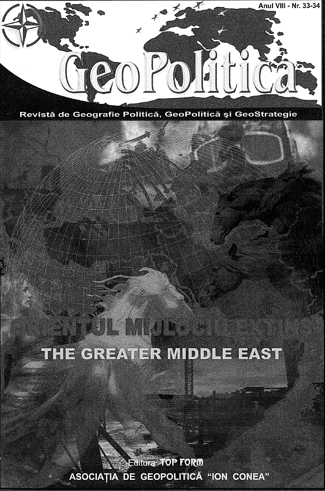

Revistă de Geografie Politică, GeoPolitică și GeoStrategie

# THE GREATER MIDDLE EAST

Editura TOP FORM ASOCIAȚIA DE GEOPOLITICĂ "ION CONEA"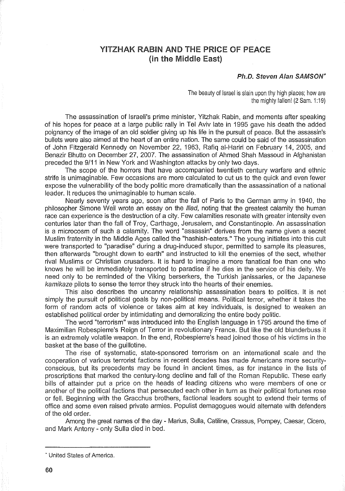### YITZHAK RABIN AND THE PRICE OF PEACE (in the Middle East)

#### Ph.D. Steven Alan SAMSON'

The beauty of Israel is slain upon thy high places; how are the mighty fallen! (2 Sam. 1:19)

The assassination of Israeli's prime minister, Yitzhak Rabin, and moments after speaking of his hopes for peace at a large public rally in Tel Aviv late in 1995 gave his death the added poignancy of the image of an old soldier giving up his life in the pursuit of peace. But the assassin's bullets were also aimed at the heart of an entire nation. The same could be said of the assassination of John Fitzgerald Kennedy on November 22, 1963, Rafiq al-Hariri on February 14, 2005, and Benazir Bhutto on December 27, 2007. The assassination of Ahmed Shah Massoud in Afghanistan preceded the 9/11 in New York and Washington attacks by only two days.

The scope of the horrors that have accompanied twentieth century warfare and ethnic strife is unimaginable. Few occasions are more calculated to cut us to the quick and even fewer expose the vulnerability of the body politic more dramatically than the assassination of a national leader. It reduces the unimaginable to human scale.

Nearly seventy years ago, soon after the fall of Paris to the German army in 1940, the philosopher Simone Weil wrote an essay on the *Iliad*, noting that the greatest calamity the human race can experience is the destruction of a city. Few calamities resonate with greater intensity even centuries later than the fall of Troy, Carthage, Jerusalem, and Constantinople. An assassination is a microcosm of such a calamity. The word "assassin" derives from the name given a secret Muslim fraternity in the Middle Ages called the "hashish-eaters." The young initiates into this cult were transported to "paradise" during a drug-induced stupor, permitted to sample its pleasures, then afterwards "brought down to earth" and instructed to kill the enemies of the sect, whether rival Muslims or Christian crusaders. It is hard to imagine a more fanatical foe than one who knows he will be immediately transported to paradise if he dies in the service of his deity. We need only to be reminded of the Viking berserkers, the Turkish janissaries, or the Japanese kamikaze pilots to sense the terror they struck into the hearts of their enemies.

This also describes the uncanny relationship assassination bears to politics. It is not simply the pursuit of political goals by non-political means. Political terror, whether it takes the form of random acts of violence or takes aim at key individuals, is designed to weaken an established political order by intimidating and demoralizing the entire body politic.

The word "terrorism" was introduced into the English language in 1795 around the time of Maximilian Robespierre's Reign of Terror in revolutionary France. But like the old blunderbuss it is an extremely volatile weapon. In the end, Robespierre's head joined those of his victims in the basket at the base of the guillotine.

The rise of systematic, state-sponsored terrorism on an international scale and the cooperation of various terrorist factions in recent decades has made Americans more securityconscious, but its precedents may be found in ancient times, as for instance in the lists of proscriptions that marked the century-long decline and fall of the Roman Republic. These early bills of attainder put a price on the heads of leading citizens who were members of one or another of the political factions that persecuted each other in turn as their political fortunes rose or fell. Beginning with the Gracchus brothers, factional leaders sought to extend their terms of office and some even raised private armies. Populist demagogues would alternate with defenders of the old order.

Among the great names of the day - Manus, Sulla, Catiline, Crassus, Pompey, Caesar, Cicero, and Mark Antony - only Sulla died in bed.

<sup>•</sup> United States of America.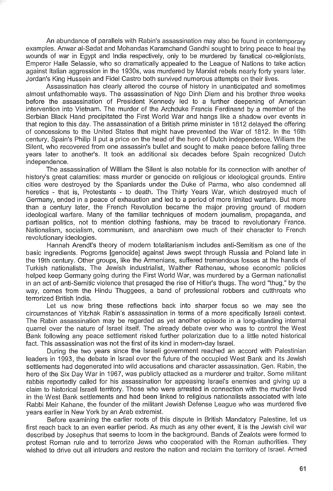An abundance of parallels with Rabin's assassination may also be found in contemporary examples. Anwar al-Sadat and Mohandas Karamchand Gandhi sought to bring peace to heal the wounds of war in Egypt and India respectively, only to be murdered by fanatical co-religionists. Emperor Haile Selassie, who so dramatically appealed to the League of Nations to take action against Italian aggression in the 1930s, was murdered by Marxist rebels nearly forty years later. Jordan's King Hussein and Fidel Castro both survived numerous attempts on their lives.

Assassination has clearly altered the course of history in unanticipated and sometimes almost unfathomable ways. The assassination of Ngo Dinh Diem and his brother three weeks before the assassination of President Kennedy led to a further deepening of American intervention into Vietnam. The murder of the Archduke Francis Ferdinand by a member of the Serbian Black Hand precipitated the First World War and hangs like a shadow over events in that region to this day. The assassination of a British prime minister in 1812 delayed the offering of concessions to the United States that might have prevented the War of 1812. In the 16th century, Spain's Philip II put a price on the head of the hero of Dutch independence, William the Silent, who recovered from one assassin's bullet and sought to make peace before falling three years later to another's. It took an additional six decades before Spain recognized Dutch independence.

The assassination of William the Silent is also notable for its connection with another of history's great calamities: mass murder or genocide on religious or ideological grounds. Entire cities were destroyed by the Spaniards under the Duke of Parma, who also condemned all heretics - that is, Protestants - to death. The Thirty Years War, which destroyed much of Germany, ended in a peace of exhaustion and led to a period of more limited warfare. But more than a century later, the French Revolution became the major proving ground of modern ideological warfare. Many of the familiar techniques of modern journalism, propaganda, and partisan politics, not to mention clothing fashions, may be traced to revolutionary France. Nationalism, socialism, communism, and anarchism owe much of their character to French revolutionary ideologies.

Hannah Arendt's theory of modern totalitarianism includes anti-Semitism as one of the basic ingredients. Pogroms [genocide] against Jews swept through Russia and Poland late in the 19th century. Other groups, like the Armenians, suffered tremendous losses at the hands of Turkish nationalists. The Jewish industrialist, Walther Rathenau, whose economic policies helped keep Germany going during the First World War, was murdered by a German nationalist in an act of anti-Semitic violence that presaged the rise of Hitler's thugs. The word "thug," by the way, comes from the Hindu Thuggees, a band of professional robbers and cutthroats who terrorized British India.

Let us now bring these reflections back into sharper focus so we may see the circumstances of Yitzhak Rabin's assassination in terms of a more specifically Israeli context. The Rabin assassination may be regarded as yet another episode in a long-standing internal quarrel over the nature of Israel itself. The already debate over who was to control the West Bank following any peace settlement risked further polarization due to a little noted historical fact. This assassination was not the first of its kind in modern-day Israel.

During the two years since the Israeli governrnent reached an accord with Palestinian leaders in 1993, the debate in Israel over the future of the occupied West Bank and its Jewish settlernents had degenerated into wild accusations and character assassination. Gen. Rabin, the hero of the Six Day War in 1967, was publicly attacked as a murderer and traitor. Some militant rabbis reportedly called for his assassination for appeasing Israel's enemies and giving up a claim to historical Israeli territory. Those who were arrested in connection with the murder lived in the West Bank settlements and had been linked to religious nationalists associated with late Rabbi Meir Kahane, the founder of the militant Jewish Defense League who was murdered five years earlier in New York by an Arab extremist.

Before examining the earlier roots of this dispute in British Mandatory Palestine, let us first reach back to an even earlier period. As much as any other event, it is the Jewish civil war described by Josephus that seems to loom in the background. Bands of Zealots were formed to protest Roman rule and to terrorize Jews who cooperated with the Roman authorities. They wished to drive out all intruders and restore the nation and reclaim the territory of Israel. Armed